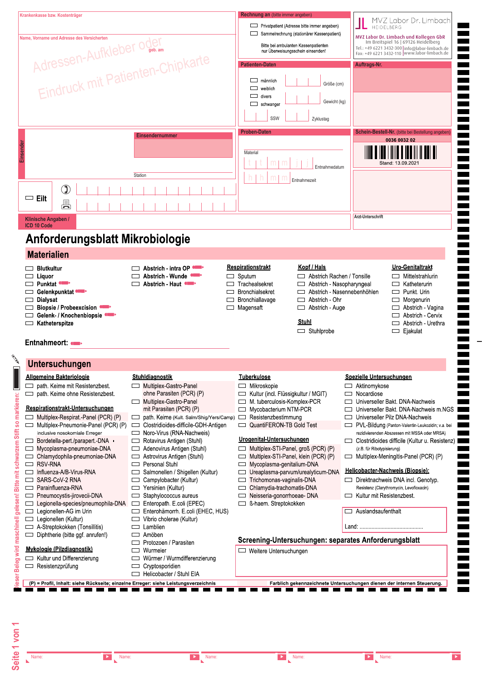|                                                                                                                              | Adressen-Aufkleber oder<br>Eindruck mit Patienten-Chipkarte                                       | Rechnung an (bitte immer angeben)<br>Privatpatient (Adresse bitte immer angeben)<br>Sammelrechnung (stationärer Kassenpatient)<br>Bitte bei ambulanten Kassenpatienten<br>nur Überweisungsschein einsenden!<br><b>Patienten-Daten</b><br>$\Box$ männlich<br>Größe (cm)<br>weiblich<br>$\Box$<br>$\Box$<br>divers<br>Gewicht (kg)<br>schwanger<br>SSW<br>Zyklustag<br><b>Proben-Daten</b> | MVZ Labor Dr. Limbach<br>HEIDELBERG<br>MVZ Labor Dr. Limbach und Kollegen GbR<br>Im Breitspiel 16   69126 Heidelberg<br>Tel.: +49 6221 3432-300 info@labor-limbach.de<br>Fax: +49 6221 3432-110  www.labor-limbach.de<br>Auftrags-Nr.<br>Schein-Bestell-Nr. (bitte bei Bestellung angeben) |
|------------------------------------------------------------------------------------------------------------------------------|---------------------------------------------------------------------------------------------------|------------------------------------------------------------------------------------------------------------------------------------------------------------------------------------------------------------------------------------------------------------------------------------------------------------------------------------------------------------------------------------------|--------------------------------------------------------------------------------------------------------------------------------------------------------------------------------------------------------------------------------------------------------------------------------------------|
| $\mathbb{O}$<br>$\Box$ Eilt<br>县                                                                                             | <b>Einsendernummer</b><br>Station                                                                 | Material<br>m<br>m<br>Entnahmedatum<br>Entnahmezeit                                                                                                                                                                                                                                                                                                                                      | 0036 0032 02<br>Stand: 13.09.2021                                                                                                                                                                                                                                                          |
| Klinische Angaben /                                                                                                          |                                                                                                   |                                                                                                                                                                                                                                                                                                                                                                                          | Arzt-Unterschrift                                                                                                                                                                                                                                                                          |
| <b>ICD 10 Code</b><br>Anforderungsblatt Mikrobiologie                                                                        |                                                                                                   |                                                                                                                                                                                                                                                                                                                                                                                          |                                                                                                                                                                                                                                                                                            |
| <b>Materialien</b>                                                                                                           |                                                                                                   |                                                                                                                                                                                                                                                                                                                                                                                          |                                                                                                                                                                                                                                                                                            |
| $\Box$ Liquor<br><b>Example Punktat •■</b><br>Gelenkpunktat<br>Dialysat<br>$\Box$<br>Biopsie / Probeexcision (COP)<br>$\Box$ | Abstrich - Wunde<br>$\Box$ Abstrich - Haut $\Box$<br>$\overline{\phantom{a}}$<br>$\Box$<br>$\Box$ | Abstrich Rachen / Tonsille<br>$\Box$ Sputum<br>Trachealsekret<br>$\Box$ Abstrich - Nasopharyngeal<br><b>Bronchialsekret</b><br>$\Box$<br>Bronchiallavage<br>Abstrich - Ohr<br>$\overline{\phantom{0}}$                                                                                                                                                                                   | Mittelstrahlurin<br>$\Box$ Katheterurin<br>Abstrich - Nasennebenhöhlen<br>$\Box$ Punkt. Urin<br>$\Box$ Morgenurin                                                                                                                                                                          |
| Gelenk- / Knochenbiopsie <                                                                                                   |                                                                                                   | $\Box$ Magensaft<br>Abstrich - Auge<br><b>Stuhl</b><br>$\Box$ Stuhlprobe                                                                                                                                                                                                                                                                                                                 | $\Box$ Abstrich - Vagina<br>Abstrich - Cervix<br>$\overline{\phantom{a}}$<br>Abstrich - Urethra<br>$\sim$<br>□ Ejakulat                                                                                                                                                                    |
| ▭<br>$\Box$ Katheterspitze<br>Entnahmeort:<br>Untersuchungen                                                                 |                                                                                                   |                                                                                                                                                                                                                                                                                                                                                                                          |                                                                                                                                                                                                                                                                                            |

Seite 1 von 1

Name:

 $\overline{a}$